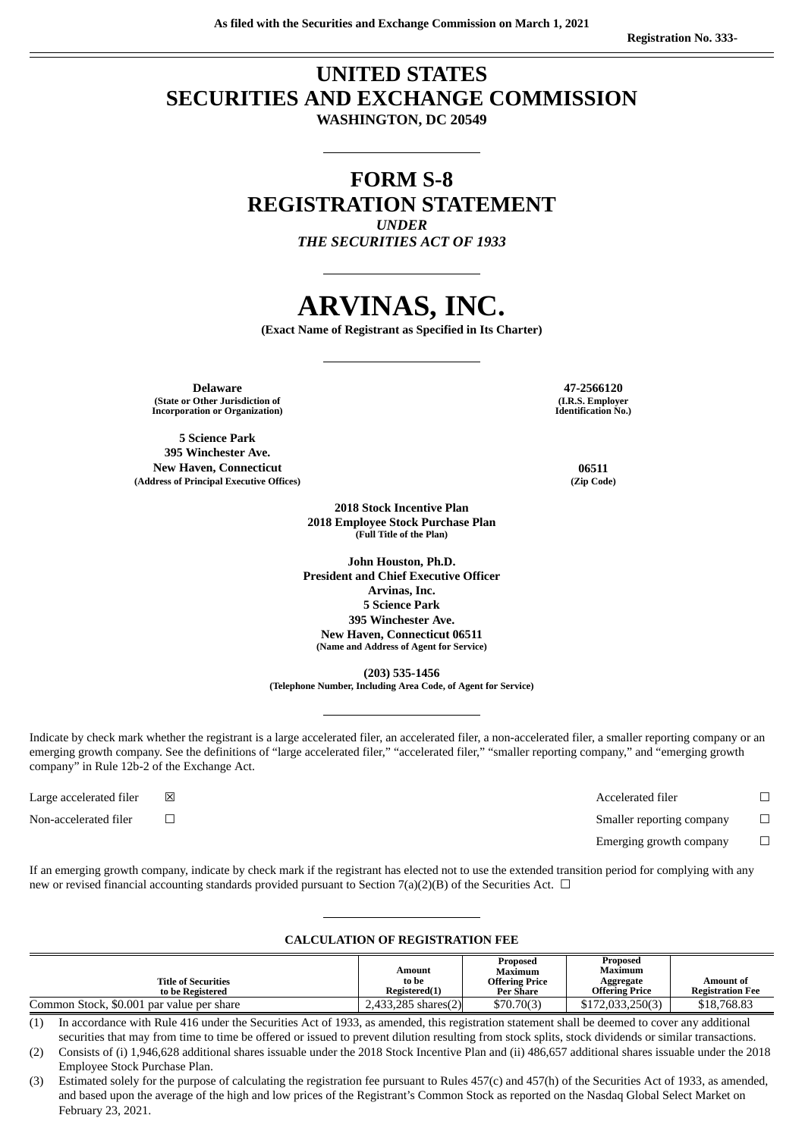### **UNITED STATES SECURITIES AND EXCHANGE COMMISSION WASHINGTON, DC 20549**

### **FORM S-8 REGISTRATION STATEMENT** *UNDER*

*THE SECURITIES ACT OF 1933*

# **ARVINAS, INC.**

**(Exact Name of Registrant as Specified in Its Charter)**

**Delaware 47-2566120 (State or Other Jurisdiction of Incorporation or Organization)**

**5 Science Park 395 Winchester Ave. New Haven, Connecticut 06511 (Address of Principal Executive Offices) (Zip Code)**

**(I.R.S. Employer Identification No.)**

**2018 Employee Stock Purchase Plan (Full Title of the Plan) John Houston, Ph.D.**

**2018 Stock Incentive Plan**

**President and Chief Executive Officer Arvinas, Inc. 5 Science Park 395 Winchester Ave. New Haven, Connecticut 06511 (Name and Address of Agent for Service)**

**(203) 535-1456**

**(Telephone Number, Including Area Code, of Agent for Service)**

Indicate by check mark whether the registrant is a large accelerated filer, an accelerated filer, a non-accelerated filer, a smaller reporting company or an emerging growth company. See the definitions of "large accelerated filer," "accelerated filer," "smaller reporting company," and "emerging growth company" in Rule 12b-2 of the Exchange Act.

Large accelerated filer  $□$ Non-accelerated filer  $□$ 

| Accelerated filer         |              |
|---------------------------|--------------|
| Smaller reporting company | $\mathbf{I}$ |
| Emerging growth company   |              |

If an emerging growth company, indicate by check mark if the registrant has elected not to use the extended transition period for complying with any new or revised financial accounting standards provided pursuant to Section 7(a)(2)(B) of the Securities Act.  $\Box$ 

#### **CALCULATION OF REGISTRATION FEE**

| <b>Title of Securities</b><br>to be Registered | Amount<br>to be<br>Registered(1) | <b>Proposed</b><br>Maximum<br><b>Offering Price</b><br>Per Share | Proposed<br>Maximum<br>Aggregate<br>Offering Price | Amount of<br><b>Registration Fee</b> |
|------------------------------------------------|----------------------------------|------------------------------------------------------------------|----------------------------------------------------|--------------------------------------|
| Common Stock, \$0.001 par value per share      | $2,433,285$ shares $(2)$         | \$70,70(3)                                                       | \$172,033,250(3)                                   | \$18,768.83                          |

(1) In accordance with Rule 416 under the Securities Act of 1933, as amended, this registration statement shall be deemed to cover any additional securities that may from time to time be offered or issued to prevent dilution resulting from stock splits, stock dividends or similar transactions.

(2) Consists of (i) 1,946,628 additional shares issuable under the 2018 Stock Incentive Plan and (ii) 486,657 additional shares issuable under the 2018 Employee Stock Purchase Plan.

(3) Estimated solely for the purpose of calculating the registration fee pursuant to Rules 457(c) and 457(h) of the Securities Act of 1933, as amended, and based upon the average of the high and low prices of the Registrant's Common Stock as reported on the Nasdaq Global Select Market on February 23, 2021.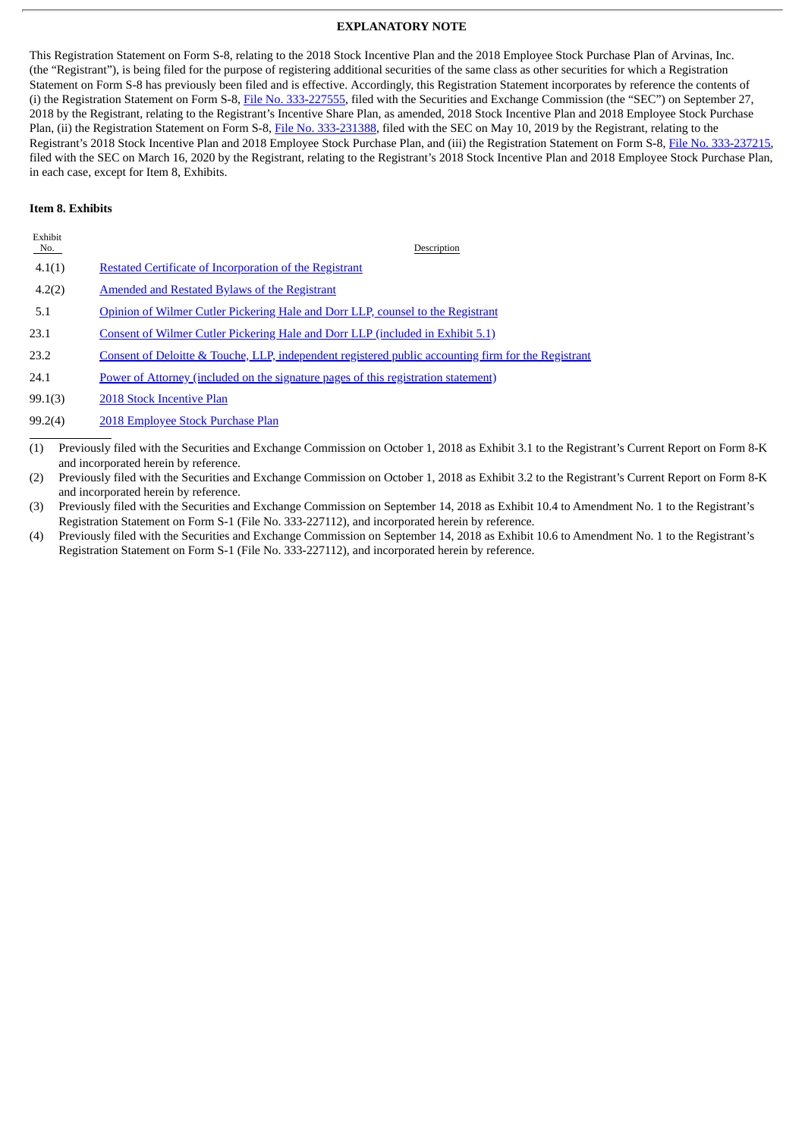#### **EXPLANATORY NOTE**

This Registration Statement on Form S-8, relating to the 2018 Stock Incentive Plan and the 2018 Employee Stock Purchase Plan of Arvinas, Inc. (the "Registrant"), is being filed for the purpose of registering additional securities of the same class as other securities for which a Registration Statement on Form S-8 has previously been filed and is effective. Accordingly, this Registration Statement incorporates by reference the contents of (i) the Registration Statement on Form S-8, File No. [333-227555](http://www.sec.gov/Archives/edgar/data/1655759/000119312518284962/d631356ds8.htm), filed with the Securities and Exchange Commission (the "SEC") on September 27, 2018 by the Registrant, relating to the Registrant's Incentive Share Plan, as amended, 2018 Stock Incentive Plan and 2018 Employee Stock Purchase Plan, (ii) the Registration Statement on Form S-8, File No. [333-231388](http://www.sec.gov/Archives/edgar/data/1655759/000119312519144337/d706829ds8.htm), filed with the SEC on May 10, 2019 by the Registrant, relating to the Registrant's 2018 Stock Incentive Plan and 2018 Employee Stock Purchase Plan, and (iii) the Registration Statement on Form S-8, File No. [333-237215,](http://www.sec.gov/Archives/edgar/data/1655759/000119312520074994/d897511ds8.htm) filed with the SEC on March 16, 2020 by the Registrant, relating to the Registrant's 2018 Stock Incentive Plan and 2018 Employee Stock Purchase Plan, in each case, except for Item 8, Exhibits.

#### **Item 8. Exhibits**

| Exhibit<br>No. | Description                                                                                         |
|----------------|-----------------------------------------------------------------------------------------------------|
| 4.1(1)         | Restated Certificate of Incorporation of the Registrant                                             |
| 4.2(2)         | <b>Amended and Restated Bylaws of the Registrant</b>                                                |
| 5.1            | Opinion of Wilmer Cutler Pickering Hale and Dorr LLP, counsel to the Registrant                     |
| 23.1           | Consent of Wilmer Cutler Pickering Hale and Dorr LLP (included in Exhibit 5.1)                      |
| 23.2           | Consent of Deloitte & Touche, LLP, independent registered public accounting firm for the Registrant |
| 24.1           | Power of Attorney (included on the signature pages of this registration statement)                  |
| 99.1(3)        | 2018 Stock Incentive Plan                                                                           |
| 99.2(4)        | 2018 Employee Stock Purchase Plan                                                                   |

(1) Previously filed with the Securities and Exchange Commission on October 1, 2018 as Exhibit 3.1 to the Registrant's Current Report on Form 8-K and incorporated herein by reference.

(2) Previously filed with the Securities and Exchange Commission on October 1, 2018 as Exhibit 3.2 to the Registrant's Current Report on Form 8-K and incorporated herein by reference.

(3) Previously filed with the Securities and Exchange Commission on September 14, 2018 as Exhibit 10.4 to Amendment No. 1 to the Registrant's Registration Statement on Form S-1 (File No. 333-227112), and incorporated herein by reference.

(4) Previously filed with the Securities and Exchange Commission on September 14, 2018 as Exhibit 10.6 to Amendment No. 1 to the Registrant's Registration Statement on Form S-1 (File No. 333-227112), and incorporated herein by reference.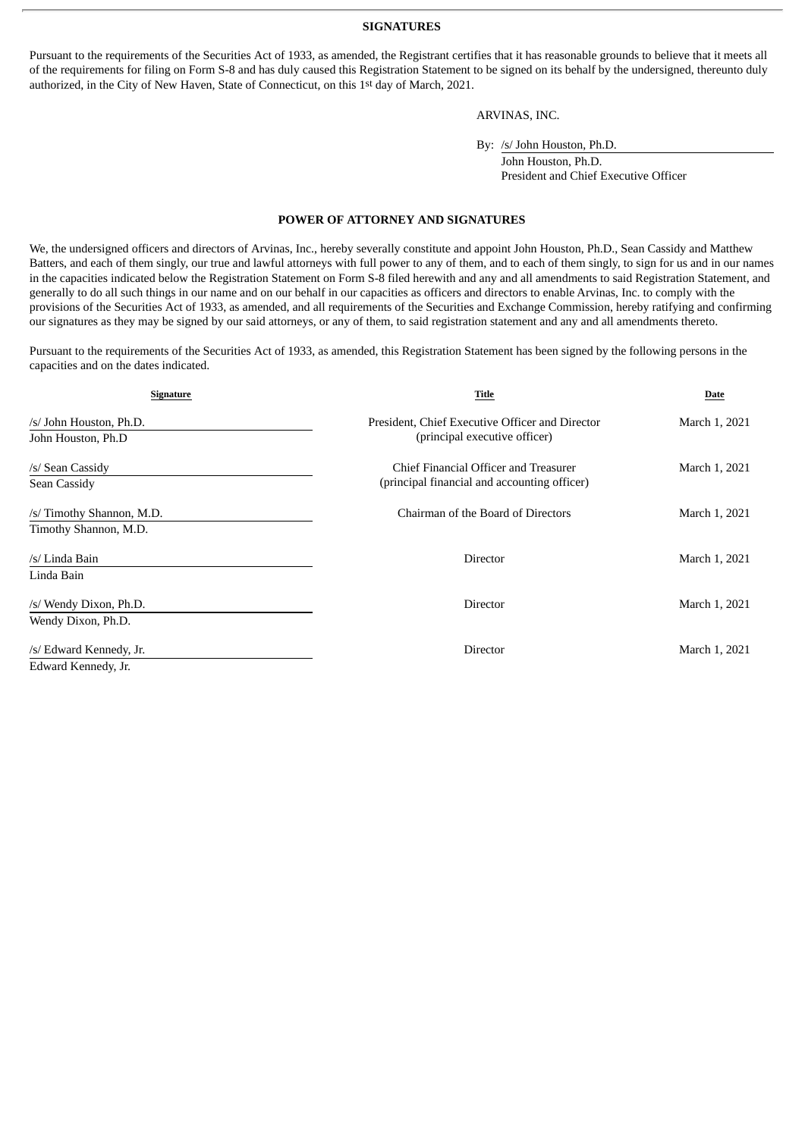#### **SIGNATURES**

Pursuant to the requirements of the Securities Act of 1933, as amended, the Registrant certifies that it has reasonable grounds to believe that it meets all of the requirements for filing on Form S-8 and has duly caused this Registration Statement to be signed on its behalf by the undersigned, thereunto duly authorized, in the City of New Haven, State of Connecticut, on this 1st day of March, 2021.

#### ARVINAS, INC.

By: /s/ John Houston, Ph.D.

John Houston, Ph.D. President and Chief Executive Officer

#### **POWER OF ATTORNEY AND SIGNATURES**

<span id="page-3-0"></span>We, the undersigned officers and directors of Arvinas, Inc., hereby severally constitute and appoint John Houston, Ph.D., Sean Cassidy and Matthew Batters, and each of them singly, our true and lawful attorneys with full power to any of them, and to each of them singly, to sign for us and in our names in the capacities indicated below the Registration Statement on Form S-8 filed herewith and any and all amendments to said Registration Statement, and generally to do all such things in our name and on our behalf in our capacities as officers and directors to enable Arvinas, Inc. to comply with the provisions of the Securities Act of 1933, as amended, and all requirements of the Securities and Exchange Commission, hereby ratifying and confirming our signatures as they may be signed by our said attorneys, or any of them, to said registration statement and any and all amendments thereto.

Pursuant to the requirements of the Securities Act of 1933, as amended, this Registration Statement has been signed by the following persons in the capacities and on the dates indicated.

| <b>Signature</b>          | Title                                           | Date          |
|---------------------------|-------------------------------------------------|---------------|
| /s/ John Houston, Ph.D.   | President, Chief Executive Officer and Director | March 1, 2021 |
| John Houston, Ph.D        | (principal executive officer)                   |               |
| /s/ Sean Cassidy          | Chief Financial Officer and Treasurer           | March 1, 2021 |
| Sean Cassidy              | (principal financial and accounting officer)    |               |
| /s/ Timothy Shannon, M.D. | Chairman of the Board of Directors              | March 1, 2021 |
| Timothy Shannon, M.D.     |                                                 |               |
| /s/ Linda Bain            | Director                                        | March 1, 2021 |
| Linda Bain                |                                                 |               |
| /s/ Wendy Dixon, Ph.D.    | <b>Director</b>                                 | March 1, 2021 |
| Wendy Dixon, Ph.D.        |                                                 |               |
| /s/ Edward Kennedy, Jr.   | Director                                        | March 1, 2021 |
| Edward Kennedy, Jr.       |                                                 |               |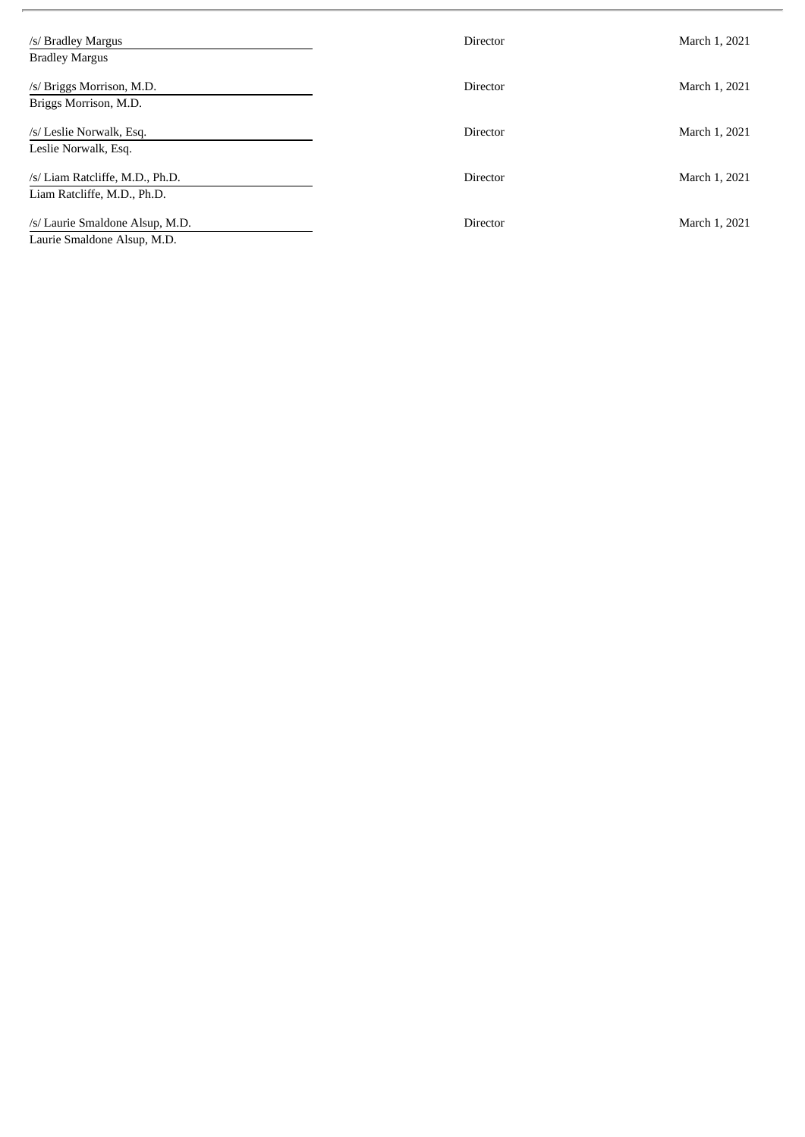| /s/ Bradley Margus<br><b>Bradley Margus</b>                    | <b>Director</b> | March 1, 2021 |
|----------------------------------------------------------------|-----------------|---------------|
| /s/ Briggs Morrison, M.D.<br>Briggs Morrison, M.D.             | <b>Director</b> | March 1, 2021 |
| /s/ Leslie Norwalk, Esq.<br>Leslie Norwalk, Esq.               | <b>Director</b> | March 1, 2021 |
| /s/ Liam Ratcliffe, M.D., Ph.D.<br>Liam Ratcliffe, M.D., Ph.D. | Director        | March 1, 2021 |
| /s/ Laurie Smaldone Alsup, M.D.<br>Laurie Smaldone Alsup, M.D. | <b>Director</b> | March 1, 2021 |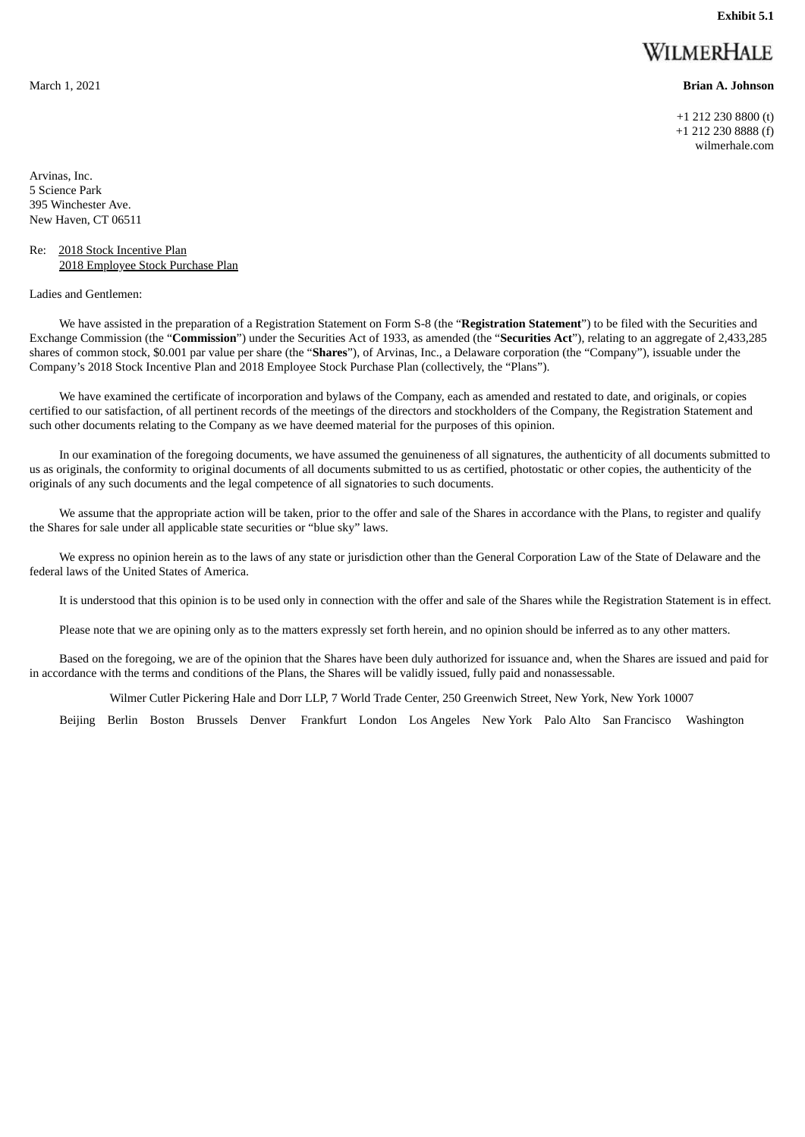**Exhibit 5.1**

## WILMERHALE

<span id="page-5-0"></span>March 1, 2021 **Brian A. Johnson**

+1 212 230 8800 (t) +1 212 230 8888 (f) wilmerhale.com

Arvinas, Inc. 5 Science Park 395 Winchester Ave. New Haven, CT 06511

#### Re: 2018 Stock Incentive Plan 2018 Employee Stock Purchase Plan

Ladies and Gentlemen:

We have assisted in the preparation of a Registration Statement on Form S-8 (the "**Registration Statement**") to be filed with the Securities and Exchange Commission (the "**Commission**") under the Securities Act of 1933, as amended (the "**Securities Act**"), relating to an aggregate of 2,433,285 shares of common stock, \$0.001 par value per share (the "**Shares**"), of Arvinas, Inc., a Delaware corporation (the "Company"), issuable under the Company's 2018 Stock Incentive Plan and 2018 Employee Stock Purchase Plan (collectively, the "Plans").

We have examined the certificate of incorporation and bylaws of the Company, each as amended and restated to date, and originals, or copies certified to our satisfaction, of all pertinent records of the meetings of the directors and stockholders of the Company, the Registration Statement and such other documents relating to the Company as we have deemed material for the purposes of this opinion.

In our examination of the foregoing documents, we have assumed the genuineness of all signatures, the authenticity of all documents submitted to us as originals, the conformity to original documents of all documents submitted to us as certified, photostatic or other copies, the authenticity of the originals of any such documents and the legal competence of all signatories to such documents.

We assume that the appropriate action will be taken, prior to the offer and sale of the Shares in accordance with the Plans, to register and qualify the Shares for sale under all applicable state securities or "blue sky" laws.

We express no opinion herein as to the laws of any state or jurisdiction other than the General Corporation Law of the State of Delaware and the federal laws of the United States of America.

It is understood that this opinion is to be used only in connection with the offer and sale of the Shares while the Registration Statement is in effect.

Please note that we are opining only as to the matters expressly set forth herein, and no opinion should be inferred as to any other matters.

Based on the foregoing, we are of the opinion that the Shares have been duly authorized for issuance and, when the Shares are issued and paid for in accordance with the terms and conditions of the Plans, the Shares will be validly issued, fully paid and nonassessable.

Wilmer Cutler Pickering Hale and Dorr LLP, 7 World Trade Center, 250 Greenwich Street, New York, New York 10007

Beijing Berlin Boston Brussels Denver Frankfurt London Los Angeles New York Palo Alto San Francisco Washington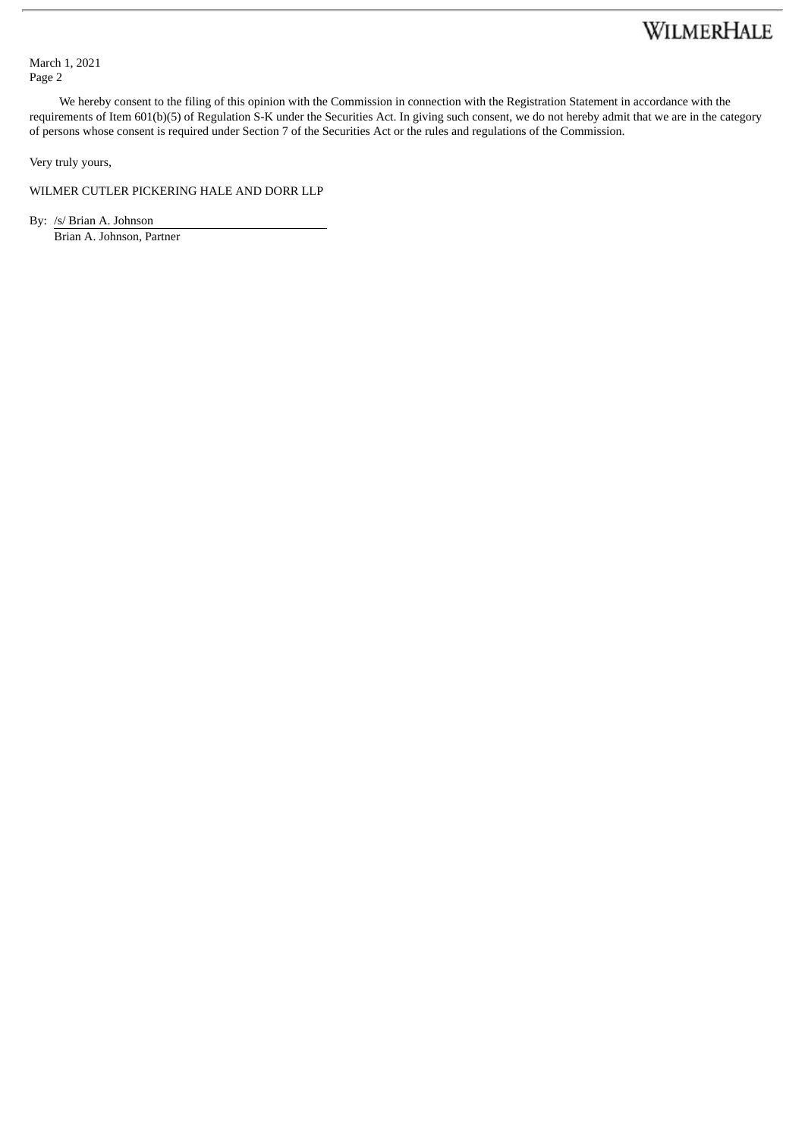## WILMERHALE

March 1, 2021 Page 2

We hereby consent to the filing of this opinion with the Commission in connection with the Registration Statement in accordance with the requirements of Item 601(b)(5) of Regulation S-K under the Securities Act. In giving such consent, we do not hereby admit that we are in the category of persons whose consent is required under Section 7 of the Securities Act or the rules and regulations of the Commission.

Very truly yours,

WILMER CUTLER PICKERING HALE AND DORR LLP

By: /s/ Brian A. Johnson

Brian A. Johnson, Partner